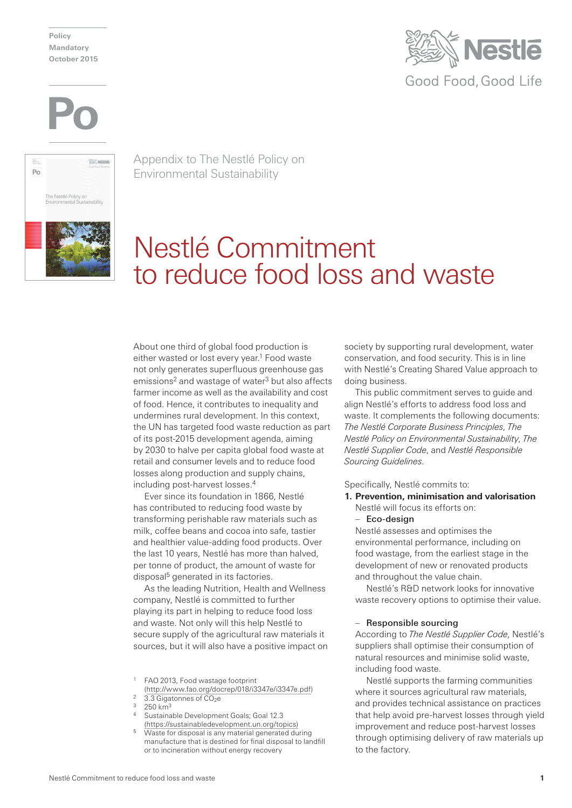**Policy Mandatory October 2015**







Appendix to The Nestlé Policy on Environmental Sustainability

# Nestlé Commitment to reduce food loss and waste

About one third of global food production is either wasted or lost every year.<sup>1</sup> Food waste not only generates superfluous greenhouse gas emissions<sup>2</sup> and wastage of water<sup>3</sup> but also affects farmer income as well as the availability and cost of food. Hence, it contributes to inequality and undermines rural development. In this context, the UN has targeted food waste reduction as part of its post-2015 development agenda, aiming by 2030 to halve per capita global food waste at retail and consumer levels and to reduce food losses along production and supply chains, including post-harvest losses.4

Ever since its foundation in 1866, Nestlé has contributed to reducing food waste by transforming perishable raw materials such as milk, coffee beans and cocoa into safe, tastier and healthier value-adding food products. Over the last 10 years, Nestlé has more than halved, per tonne of product, the amount of waste for disposal<sup>5</sup> generated in its factories.

As the leading Nutrition, Health and Wellness company, Nestlé is committed to further playing its part in helping to reduce food loss and waste. Not only will this help Nestlé to secure supply of the agricultural raw materials it sources, but it will also have a positive impact on

- <sup>1</sup> FAO 2013, Food wastage footprint
- (http://www.fao.org/docrep/018/i3347e/i3347e.pdf)
- $3.3$  Gigatonnes of  $CO<sub>2</sub>e$
- $250 km<sup>3</sup>$
- Sustainable Development Goals; Goal 12.3 (https://sustainabledevelopment.un.org/topics)
- <sup>5</sup> Waste for disposal is any material generated during manufacture that is destined for final disposal to landfill or to incineration without energy recovery

society by supporting rural development, water conservation, and food security. This is in line with Nestlé's Creating Shared Value approach to doing business.

This public commitment serves to guide and align Nestlé's efforts to address food loss and waste. It complements the following documents: *The Nestlé Corporate Business Principles*, *The Nestlé Policy on Environmental Sustainability*, *The Nestlé Supplier Code*, and *Nestlé Responsible Sourcing Guidelines*.

Specifically, Nestlé commits to:

**1. Prevention, minimisation and valorisation** Nestlé will focus its efforts on:

#### – Eco-design

Nestlé assesses and optimises the environmental performance, including on food wastage, from the earliest stage in the development of new or renovated products and throughout the value chain.

Nestlé's R&D network looks for innovative waste recovery options to optimise their value.

#### – Responsible sourcing

According to *The Nestlé Supplier Code*, Nestlé's suppliers shall optimise their consumption of natural resources and minimise solid waste, including food waste.

Nestlé supports the farming communities where it sources agricultural raw materials, and provides technical assistance on practices that help avoid pre-harvest losses through yield improvement and reduce post-harvest losses through optimising delivery of raw materials up to the factory.